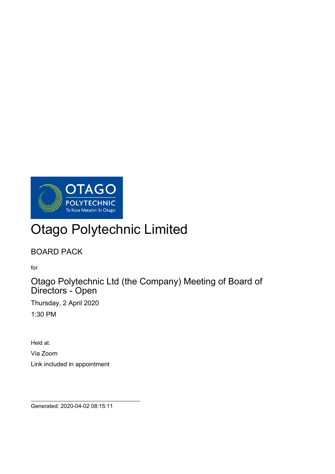

# Otago Polytechnic Limited

# BOARD PACK

for

 $\overline{a}$ 

Otago Polytechnic Ltd (the Company) Meeting of Board of Directors - Open

Thursday, 2 April 2020 1:30 PM

Held at: Via Zoom Link included in appointment

Generated: 2020-04-02 08:15:11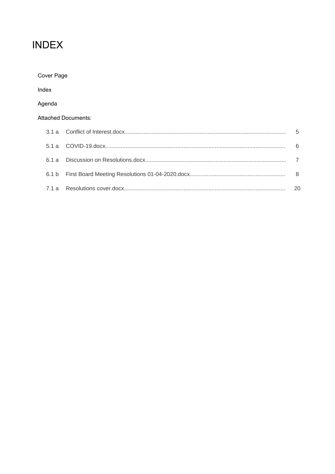# **INDEX**

| Cover Page       |                     |    |
|------------------|---------------------|----|
| Index            |                     |    |
| Agenda           |                     |    |
|                  | Attached Documents: |    |
| 3.1a             |                     | 5  |
| 5.1a             |                     | 6  |
| 6.1a             |                     |    |
| 6.1 <sub>b</sub> |                     | 8  |
| 7.1 a            |                     | 20 |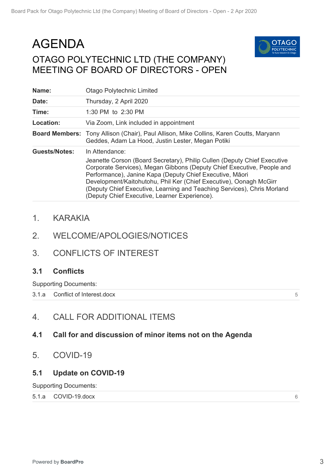# <span id="page-2-0"></span>AGENDA OTAGO POLYTECHNIC LTD (THE COMPANY) MEETING OF BOARD OF DIRECTORS - OPEN



| Name:                | <b>Otago Polytechnic Limited</b>                                                                                                                                                                                                                                                                                                                                                                                                   |
|----------------------|------------------------------------------------------------------------------------------------------------------------------------------------------------------------------------------------------------------------------------------------------------------------------------------------------------------------------------------------------------------------------------------------------------------------------------|
| Date:                | Thursday, 2 April 2020                                                                                                                                                                                                                                                                                                                                                                                                             |
| Time:                | 1:30 PM to 2:30 PM                                                                                                                                                                                                                                                                                                                                                                                                                 |
| Location:            | Via Zoom, Link included in appointment                                                                                                                                                                                                                                                                                                                                                                                             |
|                      | <b>Board Members:</b> Tony Allison (Chair), Paul Allison, Mike Collins, Karen Coutts, Maryann<br>Geddes, Adam La Hood, Justin Lester, Megan Potiki                                                                                                                                                                                                                                                                                 |
| <b>Guests/Notes:</b> | In Attendance:<br>Jeanette Corson (Board Secretary), Philip Cullen (Deputy Chief Executive<br>Corporate Services), Megan Gibbons (Deputy Chief Executive, People and<br>Performance), Janine Kapa (Deputy Chief Executive, Māori<br>Development/Kaitohutohu, Phil Ker (Chief Executive), Oonagh McGirr<br>(Deputy Chief Executive, Learning and Teaching Services), Chris Morland<br>(Deputy Chief Executive, Learner Experience). |

# 1. KARAKIA

- 2. WELCOME/APOLOGIES/NOTICES
- 3. CONFLICTS OF INTEREST

## **3.1 Conflicts**

Supporting Documents:

3.1.a [Conflict of Interest.docx](#page-4-0)

5

6

# 4. CALL FOR ADDITIONAL ITEMS

## **4.1 Call for and discussion of minor items not on the Agenda**

5. COVID-19

# **5.1 Update on COVID-19**

Supporting Documents:

#### 5.1.a [COVID-19.docx](#page-5-0)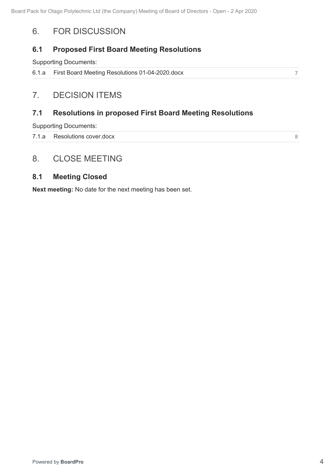# <span id="page-3-0"></span>6. FOR DISCUSSION

# **6.1 Proposed First Board Meeting Resolutions**

Supporting Documents:

| 6.1.a First Board Meeting Resolutions 01-04-2020.docx |  |
|-------------------------------------------------------|--|
|                                                       |  |

# 7. DECISION ITEMS

# **7.1 Resolutions in proposed First Board Meeting Resolutions**

Supporting Documents:

7.1.a [Resolutions cover.docx](#page-7-0)

8

# 8. CLOSE MEETING

# **8.1 Meeting Closed**

**Next meeting:** No date for the next meeting has been set.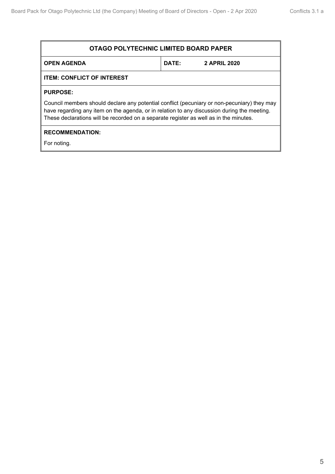<span id="page-4-0"></span>

| <b>OTAGO POLYTECHNIC LIMITED BOARD PAPER</b>                                                                                                                                                                                                                                        |              |                     |  |
|-------------------------------------------------------------------------------------------------------------------------------------------------------------------------------------------------------------------------------------------------------------------------------------|--------------|---------------------|--|
| <b>OPEN AGENDA</b>                                                                                                                                                                                                                                                                  | <b>DATE:</b> | <b>2 APRIL 2020</b> |  |
| <b>ITEM: CONFLICT OF INTEREST</b>                                                                                                                                                                                                                                                   |              |                     |  |
| <b>PURPOSE:</b>                                                                                                                                                                                                                                                                     |              |                     |  |
| Council members should declare any potential conflict (pecuniary or non-pecuniary) they may<br>have regarding any item on the agenda, or in relation to any discussion during the meeting.<br>These declarations will be recorded on a separate register as well as in the minutes. |              |                     |  |
| <b>RECOMMENDATION:</b>                                                                                                                                                                                                                                                              |              |                     |  |
| For noting.                                                                                                                                                                                                                                                                         |              |                     |  |
|                                                                                                                                                                                                                                                                                     |              |                     |  |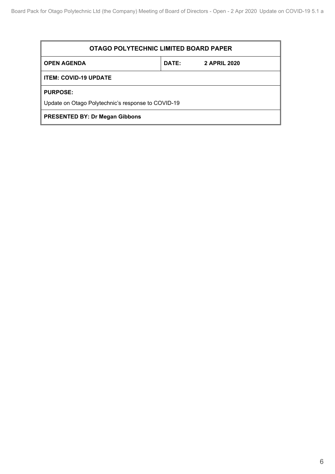<span id="page-5-0"></span>

| OTAGO POLYTECHNIC LIMITED BOARD PAPER              |  |  |  |
|----------------------------------------------------|--|--|--|
| <b>OPEN AGENDA</b><br>DATE:<br><b>2 APRIL 2020</b> |  |  |  |
| <b>ITEM: COVID-19 UPDATE</b>                       |  |  |  |
| <b>PURPOSE:</b>                                    |  |  |  |
| Update on Otago Polytechnic's response to COVID-19 |  |  |  |
| <b>PRESENTED BY: Dr Megan Gibbons</b>              |  |  |  |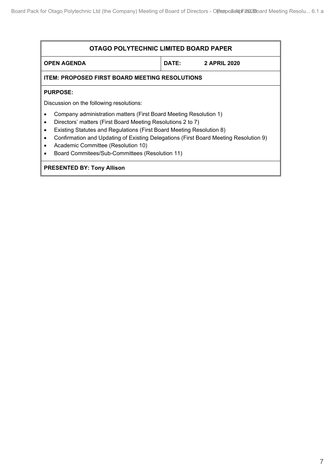<span id="page-6-0"></span>

| OTAGO POLYTECHNIC LIMITED BOARD PAPER                                                                                                                                                                                                                                                                                                                                                    |  |  |  |
|------------------------------------------------------------------------------------------------------------------------------------------------------------------------------------------------------------------------------------------------------------------------------------------------------------------------------------------------------------------------------------------|--|--|--|
| <b>OPEN AGENDA</b><br><b>DATE:</b><br><b>2 APRIL 2020</b>                                                                                                                                                                                                                                                                                                                                |  |  |  |
| <b>ITEM: PROPOSED FIRST BOARD MEETING RESOLUTIONS</b>                                                                                                                                                                                                                                                                                                                                    |  |  |  |
| <b>PURPOSE:</b>                                                                                                                                                                                                                                                                                                                                                                          |  |  |  |
| Discussion on the following resolutions:                                                                                                                                                                                                                                                                                                                                                 |  |  |  |
| Company administration matters (First Board Meeting Resolution 1)<br>Directors' matters (First Board Meeting Resolutions 2 to 7)<br>Existing Statutes and Regulations (First Board Meeting Resolution 8)<br>Confirmation and Updating of Existing Delegations (First Board Meeting Resolution 9)<br>Academic Committee (Resolution 10)<br>Board Commitees/Sub-Committees (Resolution 11) |  |  |  |
| <b>PRESENTED BY: Tony Allison</b>                                                                                                                                                                                                                                                                                                                                                        |  |  |  |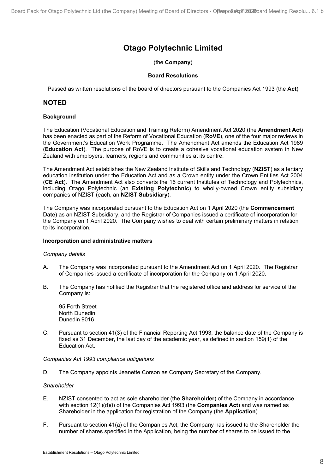# **Otago Polytechnic Limited**

(the **Company**)

#### **Board Resolutions**

<span id="page-7-0"></span>Passed as written resolutions of the board of directors pursuant to the Companies Act 1993 (the **Act**)

#### **NOTED**

#### **Background**

The Education (Vocational Education and Training Reform) Amendment Act 2020 (the **Amendment Act**) has been enacted as part of the Reform of Vocational Education (**RoVE**), one of the four major reviews in the Government's Education Work Programme. The Amendment Act amends the Education Act 1989 (**Education Act**). The purpose of RoVE is to create a cohesive vocational education system in New Zealand with employers, learners, regions and communities at its centre.

The Amendment Act establishes the New Zealand Institute of Skills and Technology (**NZIST**) as a tertiary education institution under the Education Act and as a Crown entity under the Crown Entities Act 2004 (**CE Act**). The Amendment Act also converts the 16 current Institutes of Technology and Polytechnics, including Otago Polytechnic (an **Existing Polytechnic**) to wholly-owned Crown entity subsidiary companies of NZIST (each, an **NZIST Subsidiary**).

The Company was incorporated pursuant to the Education Act on 1 April 2020 (the **Commencement Date**) as an NZIST Subsidiary, and the Registrar of Companies issued a certificate of incorporation for the Company on 1 April 2020. The Company wishes to deal with certain preliminary matters in relation to its incorporation.

#### **Incorporation and administrative matters**

#### *Company details*

- A. The Company was incorporated pursuant to the Amendment Act on 1 April 2020. The Registrar of Companies issued a certificate of incorporation for the Company on 1 April 2020.
- B. The Company has notified the Registrar that the registered office and address for service of the Company is:

95 Forth Street North Dunedin Dunedin 9016

C. Pursuant to section 41(3) of the Financial Reporting Act 1993, the balance date of the Company is fixed as 31 December, the last day of the academic year, as defined in section 159(1) of the Education Act.

#### *Companies Act 1993 compliance obligations*

D. The Company appoints Jeanette Corson as Company Secretary of the Company.

#### *Shareholder*

- E. NZIST consented to act as sole shareholder (the **Shareholder**) of the Company in accordance with section 12(1)(d)(i) of the Companies Act 1993 (the **Companies Act**) and was named as Shareholder in the application for registration of the Company (the **Application**).
- F. Pursuant to section 41(a) of the Companies Act, the Company has issued to the Shareholder the number of shares specified in the Application, being the number of shares to be issued to the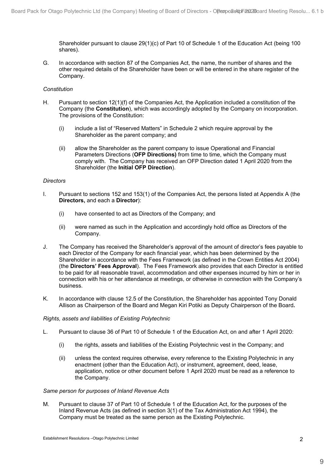Shareholder pursuant to clause 29(1)(c) of Part 10 of Schedule 1 of the Education Act (being 100 shares).

G. In accordance with section 87 of the Companies Act, the name, the number of shares and the other required details of the Shareholder have been or will be entered in the share register of the Company.

#### *Constitution*

- H. Pursuant to section 12(1)(f) of the Companies Act, the Application included a constitution of the Company (the **Constitution**), which was accordingly adopted by the Company on incorporation. The provisions of the Constitution:
	- (i) include a list of "Reserved Matters" in Schedule 2 which require approval by the Shareholder as the parent company; and
	- (ii) allow the Shareholder as the parent company to issue Operational and Financial Parameters Directions (**OFP Directions)** from time to time, which the Company must comply with. The Company has received an OFP Direction dated 1 April 2020 from the Shareholder (the **Initial OFP Direction**).

#### *Directors*

- I. Pursuant to sections 152 and 153(1) of the Companies Act, the persons listed at Appendix A (the **Directors,** and each a **Director**):
	- (i) have consented to act as Directors of the Company; and
	- (ii) were named as such in the Application and accordingly hold office as Directors of the Company.
- J. The Company has received the Shareholder's approval of the amount of director's fees payable to each Director of the Company for each financial year, which has been determined by the Shareholder in accordance with the Fees Framework (as defined in the Crown Entities Act 2004) (the **Directors' Fees Approval**). The Fees Framework also provides that each Director is entitled to be paid for all reasonable travel, accommodation and other expenses incurred by him or her in connection with his or her attendance at meetings, or otherwise in connection with the Company's business.
- K. In accordance with clause 12.5 of the Constitution, the Shareholder has appointed Tony Donald Allison as Chairperson of the Board and Megan Kiri Potiki as Deputy Chairperson of the Board**.**

#### *Rights, assets and liabilities of Existing Polytechnic*

- L. Pursuant to clause 36 of Part 10 of Schedule 1 of the Education Act, on and after 1 April 2020:
	- (i) the rights, assets and liabilities of the Existing Polytechnic vest in the Company; and
	- (ii) unless the context requires otherwise, every reference to the Existing Polytechnic in any enactment (other than the Education Act), or instrument, agreement, deed, lease, application, notice or other document before 1 April 2020 must be read as a reference to the Company.

#### *Same person for purposes of Inland Revenue Acts*

M. Pursuant to clause 37 of Part 10 of Schedule 1 of the Education Act, for the purposes of the Inland Revenue Acts (as defined in section 3(1) of the Tax Administration Act 1994), the Company must be treated as the same person as the Existing Polytechnic.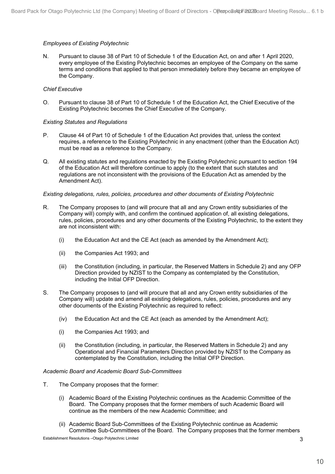#### *Employees of Existing Polytechnic*

N. Pursuant to clause 38 of Part 10 of Schedule 1 of the Education Act, on and after 1 April 2020, every employee of the Existing Polytechnic becomes an employee of the Company on the same terms and conditions that applied to that person immediately before they became an employee of the Company.

#### *Chief Executive*

O. Pursuant to clause 38 of Part 10 of Schedule 1 of the Education Act, the Chief Executive of the Existing Polytechnic becomes the Chief Executive of the Company.

#### *Existing Statutes and Regulations*

- P. Clause 44 of Part 10 of Schedule 1 of the Education Act provides that, unless the context requires, a reference to the Existing Polytechnic in any enactment (other than the Education Act) must be read as a reference to the Company.
- Q. All existing statutes and regulations enacted by the Existing Polytechnic pursuant to section 194 of the Education Act will therefore continue to apply (to the extent that such statutes and regulations are not inconsistent with the provisions of the Education Act as amended by the Amendment Act).

#### *Existing delegations, rules, policies, procedures and other documents of Existing Polytechnic*

- R. The Company proposes to (and will procure that all and any Crown entity subsidiaries of the Company will) comply with, and confirm the continued application of, all existing delegations, rules, policies, procedures and any other documents of the Existing Polytechnic, to the extent they are not inconsistent with:
	- (i) the Education Act and the CE Act (each as amended by the Amendment Act);
	- (ii) the Companies Act 1993; and
	- (iii) the Constitution (including, in particular, the Reserved Matters in Schedule 2) and any OFP Direction provided by NZIST to the Company as contemplated by the Constitution, including the Initial OFP Direction.
- S. The Company proposes to (and will procure that all and any Crown entity subsidiaries of the Company will) update and amend all existing delegations, rules, policies, procedures and any other documents of the Existing Polytechnic as required to reflect:
	- (iv) the Education Act and the CE Act (each as amended by the Amendment Act);
	- (i) the Companies Act 1993; and
	- (ii) the Constitution (including, in particular, the Reserved Matters in Schedule 2) and any Operational and Financial Parameters Direction provided by NZIST to the Company as contemplated by the Constitution, including the Initial OFP Direction.

#### *Academic Board and Academic Board Sub-Committees*

- T. The Company proposes that the former:
	- (i) Academic Board of the Existing Polytechnic continues as the Academic Committee of the Board. The Company proposes that the former members of such Academic Board will continue as the members of the new Academic Committee; and
	- (ii) Academic Board Sub-Committees of the Existing Polytechnic continue as Academic Committee Sub-Committees of the Board. The Company proposes that the former members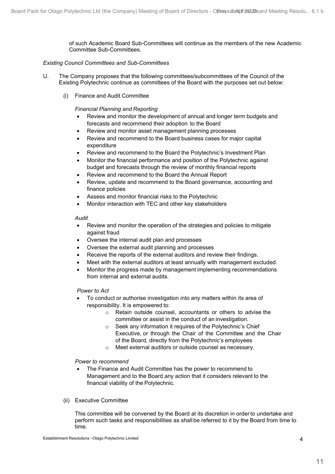of such Academic Board Sub-Committees will continue as the members of the new Academic Committee Sub-Committees.

#### *Existing Council Committees and Sub-Committees*

- U. The Company proposes that the following committees/subcommittees of the Council of the Existing Polytechnic continue as committees of the Board with the purposes set out below:
	- (i) Finance and Audit Committee

#### *Financial Planning and Reporting*

- Review and monitor the development of annual and longer term budgets and forecasts and recommend their adoption to the Board
- Review and monitor asset management planning processes
- Review and recommend to the Board business cases for major capital expenditure
- Review and recommend to the Board the Polytechnic's Investment Plan
- Monitor the financial performance and position of the Polytechnic against budget and forecasts through the review of monthly financial reports
- Review and recommend to the Board the Annual Report
- Review, update and recommend to the Board governance, accounting and finance policies
- Assess and monitor financial risks to the Polytechnic
- Monitor interaction with TEC and other key stakeholders

#### *Audit*

- Review and monitor the operation of the strategies and policies to mitigate against fraud
- Oversee the internal audit plan and processes
- Oversee the external audit planning and processes
- Receive the reports of the external auditors and review their findings.
- Meet with the external auditors at least annually with management excluded.
- Monitor the progress made by management implementing recommendations from internal and external audits.

*Power to Act*

- To conduct or authorise investigation into any matters within its area of responsibility. It is empowered to:
	- o Retain outside counsel, accountants or others to advise the committee or assist in the conduct of an investigation.
	- o Seek any information it requires of the Polytechnic's Chief Executive, or through the Chair of the Committee and the Chair of the Board, directly from the Polytechnic's employees
	- o Meet external auditors or outside counsel as necessary.

#### *Power to recommend*

- The Finance and Audit Committee has the power to recommend to Management and to the Board any action that it considers relevant to the financial viability of the Polytechnic.
- (ii) Executive Committee

This committee will be convened by the Board at its discretion in order to undertake and perform such tasks and responsibilities as shall be referred to it by the Board from time to time.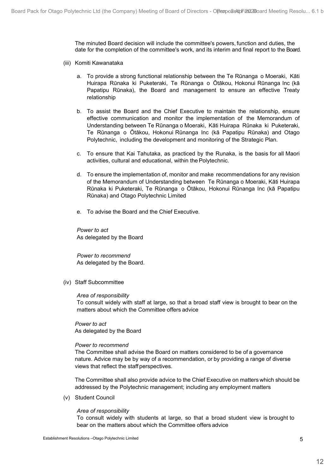The minuted Board decision will include the committee's powers, function and duties, the date for the completion of the committee's work, and its interim and final report to the Board.

- (iii) Komiti Kawanataka
	- a. To provide a strong functional relationship between the Te Rūnanga o Moeraki, Kāti Huirapa Rūnaka ki Puketeraki, Te Rūnanga o Ōtākou, Hokonui Rūnanga Inc (kā Papatipu Rūnaka), the Board and management to ensure an effective Treaty relationship
	- b. To assist the Board and the Chief Executive to maintain the relationship, ensure effective communication and monitor the implementation of the Memorandum of Understanding between Te Rūnanga o Moeraki, Kāti Huirapa Rūnaka ki Puketeraki, Te Rūnanga o Ōtākou, Hokonui Rūnanga Inc (kā Papatipu Rūnaka) and Otago Polytechnic, including the development and monitoring of the Strategic Plan.
	- c. To ensure that Kai Tahutaka, as practiced by the Runaka, is the basis for all Maori activities, cultural and educational, within the Polytechnic.
	- d. To ensure the implementation of, monitor and make recommendations for any revision of the Memorandum of Understanding between Te Rūnanga o Moeraki, Kāti Huirapa Rūnaka ki Puketeraki, Te Rūnanga o Ōtākou, Hokonui Rūnanga Inc (kā Papatipu Rūnaka) and Otago Polytechnic Limited
	- e. To advise the Board and the Chief Executive.

*Power to act* As delegated by the Board

*Power to recommend* As delegated by the Board.

(iv) Staff Subcommittee

#### *Area of responsibility*

To consult widely with staff at large, so that a broad staff view is brought to bear on the matters about which the Committee offers advice

*Power to act* As delegated by the Board

#### *Power to recommend*

The Committee shall advise the Board on matters considered to be of a governance nature. Advice may be by way of a recommendation, or by providing a range of diverse views that reflect the staff perspectives.

The Committee shall also provide advice to the Chief Executive on matters which should be addressed by the Polytechnic management; including any employment matters

(v) Student Council

#### *Area of responsibility*

To consult widely with students at large, so that a broad student view is brought to bear on the matters about which the Committee offers advice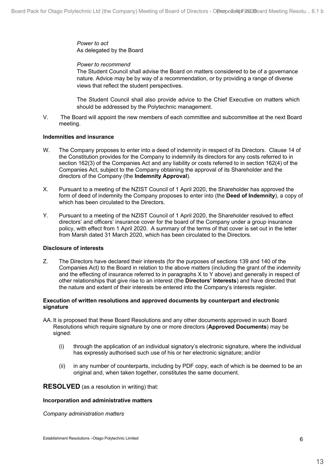*Power to act* As delegated by the Board

#### *Power to recommend*

The Student Council shall advise the Board on matters considered to be of a governance nature. Advice may be by way of a recommendation, or by providing a range of diverse views that reflect the student perspectives.

The Student Council shall also provide advice to the Chief Executive on matters which should be addressed by the Polytechnic management.

V. The Board will appoint the new members of each committee and subcommittee at the next Board meeting.

#### **Indemnities and insurance**

- W. The Company proposes to enter into a deed of indemnity in respect of its Directors.Clause 14 of the Constitution provides for the Company to indemnify its directors for any costs referred to in section 162(3) of the Companies Act and any liability or costs referred to in section 162(4) of the Companies Act, subject to the Company obtaining the approval of its Shareholder and the directors of the Company (the **Indemnity Approval**).
- X. Pursuant to a meeting of the NZIST Council of 1 April 2020, the Shareholder has approved the form of deed of indemnity the Company proposes to enter into (the **Deed of Indemnity**), a copy of which has been circulated to the Directors.
- Y. Pursuant to a meeting of the NZIST Council of 1 April 2020, the Shareholder resolved to effect directors' and officers' insurance cover for the board of the Company under a group insurance policy, with effect from 1 April 2020. A summary of the terms of that cover is set out in the letter from Marsh dated 31 March 2020, which has been circulated to the Directors.

#### **Disclosure of interests**

Z. The Directors have declared their interests (for the purposes of sections 139 and 140 of the Companies Act) to the Board in relation to the above matters (including the grant of the indemnity and the effecting of insurance referred to in paragraphs X to Y above) and generally in respect of other relationships that give rise to an interest (the **Directors' Interests**) and have directed that the nature and extent of their interests be entered into the Company's interests register.

#### **Execution of written resolutions and approved documents by counterpart and electronic signature**

- AA. It is proposed that these Board Resolutions and any other documents approved in such Board Resolutions which require signature by one or more directors (**Approved Documents**) may be signed:
	- (i) through the application of an individual signatory's electronic signature, where the individual has expressly authorised such use of his or her electronic signature; and/or
	- (ii) in any number of counterparts, including by PDF copy, each of which is be deemed to be an original and, when taken together, constitutes the same document.

**RESOLVED** (as a resolution in writing) that:

#### **Incorporation and administrative matters**

*Company administration matters*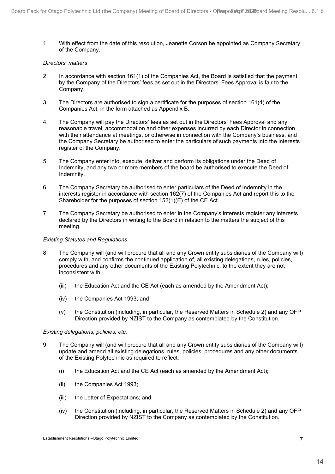1. With effect from the date of this resolution, Jeanette Corson be appointed as Company Secretary of the Company.

#### *Directors' matters*

- 2. In accordance with section 161(1) of the Companies Act, the Board is satisfied that the payment by the Company of the Directors' fees as set out in the Directors' Fees Approval is fair to the Company.
- 3. The Directors are authorised to sign a certificate for the purposes of section 161(4) of the Companies Act, in the form attached as Appendix B.
- 4. The Company will pay the Directors' fees as set out in the Directors' Fees Approval and any reasonable travel, accommodation and other expenses incurred by each Director in connection with their attendance at meetings, or otherwise in connection with the Company's business, and the Company Secretary be authorised to enter the particulars of such payments into the interests register of the Company.
- 5. The Company enter into, execute, deliver and perform its obligations under the Deed of Indemnity, and any two or more members of the board be authorised to execute the Deed of Indemnity.
- 6. The Company Secretary be authorised to enter particulars of the Deed of Indemnity in the interests register in accordance with section 162(7) of the Companies Act and report this to the Shareholder for the purposes of section 152(1)(E) of the CE Act.
- 7. The Company Secretary be authorised to enter in the Company's interests register any interests declared by the Directors in writing to the Board in relation to the matters the subject of this meeting.

#### *Existing Statutes and Regulations*

- 8. The Company will (and will procure that all and any Crown entity subsidiaries of the Company will) comply with, and confirms the continued application of, all existing delegations, rules, policies, procedures and any other documents of the Existing Polytechnic, to the extent they are not inconsistent with:
	- (iii) the Education Act and the CE Act (each as amended by the Amendment Act);
	- (iv) the Companies Act 1993; and
	- (v) the Constitution (including, in particular, the Reserved Matters in Schedule 2) and any OFP Direction provided by NZIST to the Company as contemplated by the Constitution.

#### *Existing delegations, policies, etc.*

- 9. The Company will (and will procure that all and any Crown entity subsidiaries of the Company will) update and amend all existing delegations, rules, policies, procedures and any other documents of the Existing Polytechnic as required to reflect:
	- (i) the Education Act and the CE Act (each as amended by the Amendment Act);
	- (ii) the Companies Act 1993;
	- (iii) the Letter of Expectations; and
	- (iv) the Constitution (including, in particular, the Reserved Matters in Schedule 2) and any OFP Direction provided by NZIST to the Company as contemplated by the Constitution.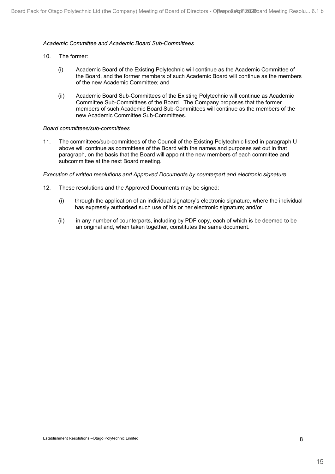#### *Academic Committee and Academic Board Sub-Committees*

- 10. The former:
	- (i) Academic Board of the Existing Polytechnic will continue as the Academic Committee of the Board, and the former members of such Academic Board will continue as the members of the new Academic Committee; and
	- (ii) Academic Board Sub-Committees of the Existing Polytechnic will continue as Academic Committee Sub-Committees of the Board. The Company proposes that the former members of such Academic Board Sub-Committees will continue as the members of the new Academic Committee Sub-Committees.

#### *Board committees/sub-committees*

11. The committees/sub-committees of the Council of the Existing Polytechnic listed in paragraph U above will continue as committees of the Board with the names and purposes set out in that paragraph, on the basis that the Board will appoint the new members of each committee and subcommittee at the next Board meeting.

#### *Execution of written resolutions and Approved Documents by counterpart and electronic signature*

- 12. These resolutions and the Approved Documents may be signed:
	- (i) through the application of an individual signatory's electronic signature, where the individual has expressly authorised such use of his or her electronic signature; and/or
	- (ii) in any number of counterparts, including by PDF copy, each of which is be deemed to be an original and, when taken together, constitutes the same document.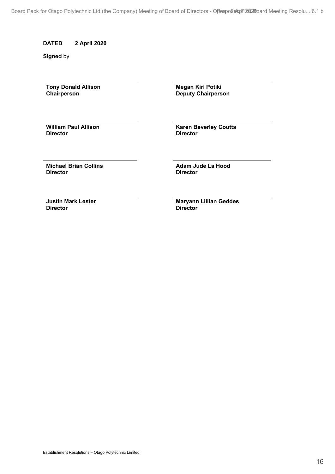Board Pack for Otago Polytechnic Ltd (the Company) Meeting of Board of Directors - OPeopo2eNpFils12Board Me[eting Resolu... 6.1 b](#page-3-0)

#### **DATED 2 April 2020**

**Signed** by

**Tony Donald Allison Chairperson** 

**Megan Kiri Potiki Deputy Chairperson** 

**William Paul Allison Director**

**Karen Beverley Coutts Director**

**Michael Brian Collins Director**

**Adam Jude La Hood Director**

**Justin Mark Lester Director**

**Maryann Lillian Geddes Director**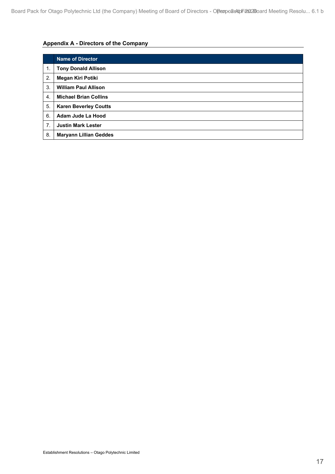## **Appendix A - Directors of the Company**

|                | <b>Name of Director</b>       |
|----------------|-------------------------------|
| $\mathbf{1}$ . | <b>Tony Donald Allison</b>    |
| 2.             | Megan Kiri Potiki             |
| 3.             | <b>William Paul Allison</b>   |
| 4.             | <b>Michael Brian Collins</b>  |
| 5.             | <b>Karen Beverley Coutts</b>  |
| 6.             | Adam Jude La Hood             |
| 7.             | <b>Justin Mark Lester</b>     |
| 8.             | <b>Maryann Lillian Geddes</b> |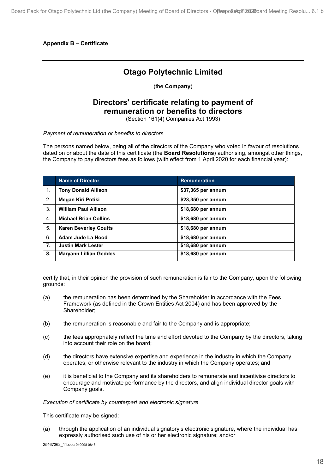**Appendix B – Certificate**

# **Otago Polytechnic Limited**

(the **Company**)

# **Directors' certificate relating to payment of remuneration or benefits to directors**

(Section 161(4) Companies Act 1993)

*Payment of remuneration or benefits to directors*

The persons named below, being all of the directors of the Company who voted in favour of resolutions dated on or about the date of this certificate (the **Board Resolutions**) authorising, amongst other things, the Company to pay directors fees as follows (with effect from 1 April 2020 for each financial year):

|                  | <b>Name of Director</b>       | <b>Remuneration</b> |
|------------------|-------------------------------|---------------------|
| 1.               | <b>Tony Donald Allison</b>    | \$37,365 per annum  |
| 2.               | Megan Kiri Potiki             | \$23,350 per annum  |
| 3.               | <b>William Paul Allison</b>   | \$18,680 per annum  |
| $\overline{4}$ . | <b>Michael Brian Collins</b>  | \$18,680 per annum  |
| 5.               | <b>Karen Beverley Coutts</b>  | \$18,680 per annum  |
| 6.               | Adam Jude La Hood             | \$18,680 per annum  |
| 7.               | <b>Justin Mark Lester</b>     | \$18,680 per annum  |
| 8.               | <b>Maryann Lillian Geddes</b> | \$18,680 per annum  |

certify that, in their opinion the provision of such remuneration is fair to the Company, upon the following grounds:

- (a) the remuneration has been determined by the Shareholder in accordance with the Fees Framework (as defined in the Crown Entities Act 2004) and has been approved by the Shareholder;
- (b) the remuneration is reasonable and fair to the Company and is appropriate;
- (c) the fees appropriately reflect the time and effort devoted to the Company by the directors, taking into account their role on the board;
- (d) the directors have extensive expertise and experience in the industry in which the Company operates, or otherwise relevant to the industry in which the Company operates; and
- (e) it is beneficial to the Company and its shareholders to remunerate and incentivise directors to encourage and motivate performance by the directors, and align individual director goals with Company goals.

*Execution of certificate by counterpart and electronic signature*

This certificate may be signed:

(a) through the application of an individual signatory's electronic signature, where the individual has expressly authorised such use of his or her electronic signature; and/or

25467362\_11.doc 040998 0848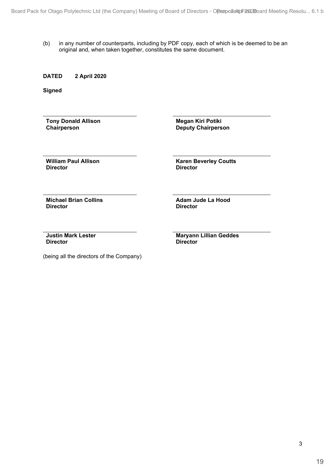(b) in any number of counterparts, including by PDF copy, each of which is be deemed to be an original and, when taken together, constitutes the same document.

#### **DATED 2 April 2020**

**Signed**

**Tony Donald Allison Chairperson**

**Megan Kiri Potiki Deputy Chairperson**

**William Paul Allison Director**

**Karen Beverley Coutts Director**

**Michael Brian Collins Director**

**Adam Jude La Hood Director**

**Justin Mark Lester Director**

**Maryann Lillian Geddes Director**

(being all the directors of the Company)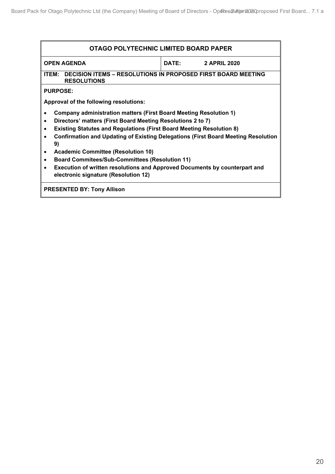<span id="page-19-0"></span>

| OTAGO POLYTECHNIC LIMITED BOARD PAPER                                                                       |  |                           |  |
|-------------------------------------------------------------------------------------------------------------|--|---------------------------|--|
| <b>OPEN AGENDA</b>                                                                                          |  | <b>DATE:</b> 2 APRIL 2020 |  |
| ITEM: DECISION ITEMS - RESOLUTIONS IN PROPOSED FIRST BOARD MEETING<br><b>RESOLUTIONS</b>                    |  |                           |  |
| <b>PURPOSE:</b>                                                                                             |  |                           |  |
| Approval of the following resolutions:                                                                      |  |                           |  |
| Company administration matters (First Board Meeting Resolution 1)                                           |  |                           |  |
| Directors' matters (First Board Meeting Resolutions 2 to 7)<br>$\bullet$                                    |  |                           |  |
| <b>Existing Statutes and Regulations (First Board Meeting Resolution 8)</b><br>$\bullet$                    |  |                           |  |
| <b>Confirmation and Updating of Existing Delegations (First Board Meeting Resolution</b><br>$\bullet$<br>9) |  |                           |  |
| <b>Academic Committee (Resolution 10)</b><br>$\bullet$                                                      |  |                           |  |
| <b>Board Commitees/Sub-Committees (Resolution 11)</b><br>$\bullet$                                          |  |                           |  |
| Execution of written resolutions and Approved Documents by counterpart and<br>$\bullet$                     |  |                           |  |
| electronic signature (Resolution 12)                                                                        |  |                           |  |
| <b>PRESENTED BY: Tony Allison</b>                                                                           |  |                           |  |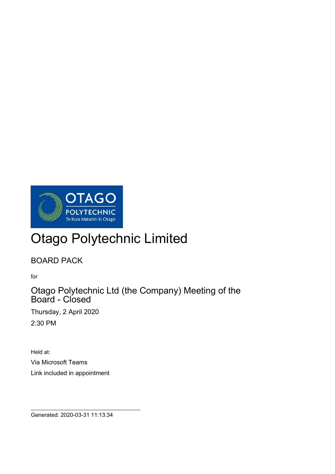

# Otago Polytechnic Limited

BOARD PACK

for

 $\overline{a}$ 

Otago Polytechnic Ltd (the Company) Meeting of the Board - Closed

Thursday, 2 April 2020 2:30 PM

Held at: Via Microsoft Teams Link included in appointment

Generated: 2020-03-31 11:13:34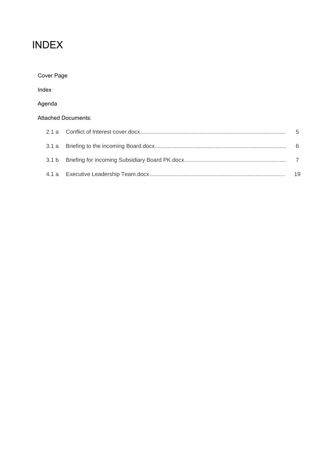# INDEX

| Cover Page       |                            |    |
|------------------|----------------------------|----|
| Index            |                            |    |
| Agenda           |                            |    |
|                  | <b>Attached Documents:</b> |    |
| 2.1a             |                            | 5  |
| 3.1a             |                            | 6  |
| 3.1 <sub>b</sub> |                            | 7  |
|                  |                            | 19 |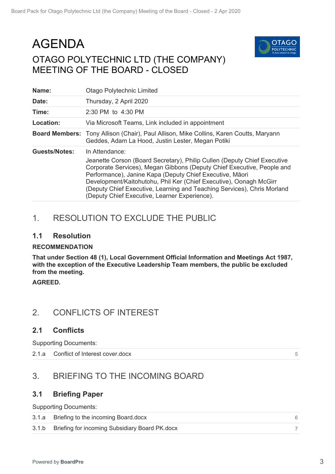# AGENDA OTAGO POLYTECHNIC LTD (THE COMPANY) MEETING OF THE BOARD - CLOSED



| Name:                | <b>Otago Polytechnic Limited</b>                                                                                                                                                                                                                                                                                                                                                                                                   |
|----------------------|------------------------------------------------------------------------------------------------------------------------------------------------------------------------------------------------------------------------------------------------------------------------------------------------------------------------------------------------------------------------------------------------------------------------------------|
| Date:                | Thursday, 2 April 2020                                                                                                                                                                                                                                                                                                                                                                                                             |
| Time:                | 2:30 PM to 4:30 PM                                                                                                                                                                                                                                                                                                                                                                                                                 |
| Location:            | Via Microsoft Teams, Link included in appointment                                                                                                                                                                                                                                                                                                                                                                                  |
|                      | Board Members: Tony Allison (Chair), Paul Allison, Mike Collins, Karen Coutts, Maryann<br>Geddes, Adam La Hood, Justin Lester, Megan Potiki                                                                                                                                                                                                                                                                                        |
| <b>Guests/Notes:</b> | In Attendance:<br>Jeanette Corson (Board Secretary), Philip Cullen (Deputy Chief Executive<br>Corporate Services), Megan Gibbons (Deputy Chief Executive, People and<br>Performance), Janine Kapa (Deputy Chief Executive, Māori<br>Development/Kaitohutohu, Phil Ker (Chief Executive), Oonagh McGirr<br>(Deputy Chief Executive, Learning and Teaching Services), Chris Morland<br>(Deputy Chief Executive, Learner Experience). |

# 1. RESOLUTION TO EXCLUDE THE PUBLIC

### **1.1 Resolution**

#### **RECOMMENDATION**

**That under Section 48 (1), Local Government Official Information and Meetings Act 1987, with the exception of the Executive Leadership Team members, the public be excluded from the meeting.**

**AGREED.**

# 2. CONFLICTS OF INTEREST

## **2.1 Conflicts**

Supporting Documents:

2.1.a Conflict of Interest cover.docx

5

# 3. BRIEFING TO THE INCOMING BOARD

## **3.1 Briefing Paper**

Supporting Documents:

| 3.1.a Briefing to the incoming Board.docx            |  |
|------------------------------------------------------|--|
| 3.1.b Briefing for incoming Subsidiary Board PK.docx |  |